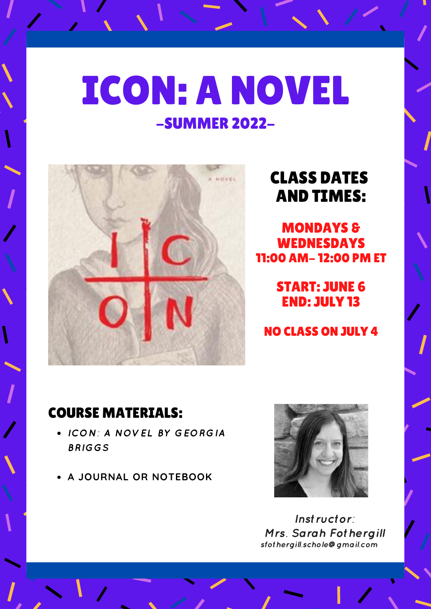# ICON: A NOVEL -SUMMER 2022-



## CLASS DATES AND TIMES:

MONDAYS & WEDNESDAYS 11:00 AM- 12:00 PM ET

> START: JUNE 6 END: JULY 13

NO CLASS ON JULY 4

### COURSE MATERIALS:

- ICON: A NOVEL BY GEORGIA BRIGGS
- **A JOURNAL OR NOTEBOOK**



Instructor: Mrs. Sarah Fothergill sfothergill.schole@gmail.com